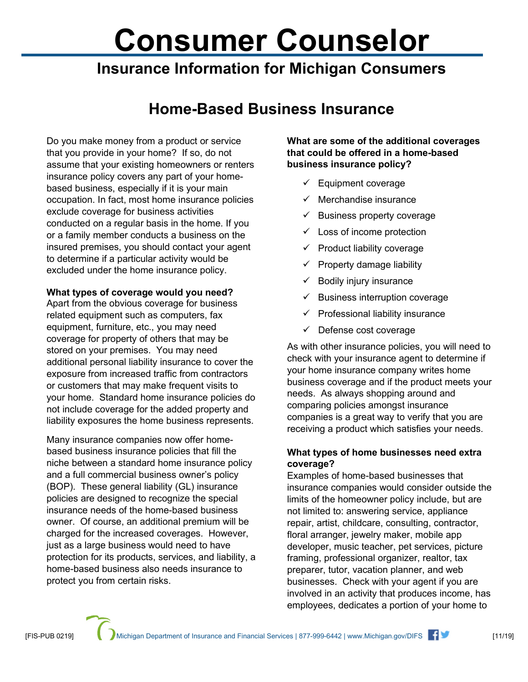# **Consumer Counselor**

## **Insurance Information for Michigan Consumers**

## **Home-Based Business Insurance**

Do you make money from a product or service that you provide in your home? If so, do not assume that your existing homeowners or renters insurance policy covers any part of your homebased business, especially if it is your main occupation. In fact, most home insurance policies exclude coverage for business activities conducted on a regular basis in the home. If you or a family member conducts a business on the insured premises, you should contact your agent to determine if a particular activity would be excluded under the home insurance policy.

#### **What types of coverage would you need?**

Apart from the obvious coverage for business related equipment such as computers, fax equipment, furniture, etc., you may need coverage for property of others that may be stored on your premises. You may need additional personal liability insurance to cover the exposure from increased traffic from contractors or customers that may make frequent visits to your home. Standard home insurance policies do not include coverage for the added property and liability exposures the home business represents.

Many insurance companies now offer homebased business insurance policies that fill the niche between a standard home insurance policy and a full commercial business owner's policy (BOP). These general liability (GL) insurance policies are designed to recognize the special insurance needs of the home-based business owner. Of course, an additional premium will be charged for the increased coverages. However, just as a large business would need to have protection for its products, services, and liability, a home-based business also needs insurance to protect you from certain risks.

**What are some of the additional coverages that could be offered in a home-based business insurance policy?**

- $\checkmark$  Equipment coverage
- $\checkmark$  Merchandise insurance
- $\checkmark$  Business property coverage
- $\checkmark$  Loss of income protection
- $\checkmark$  Product liability coverage
- $\checkmark$  Property damage liability
- $\checkmark$  Bodily injury insurance
- $\checkmark$  Business interruption coverage
- $\checkmark$  Professional liability insurance
- $\checkmark$  Defense cost coverage

As with other insurance policies, you will need to check with your insurance agent to determine if your home insurance company writes home business coverage and if the product meets your needs. As always shopping around and comparing policies amongst insurance companies is a great way to verify that you are receiving a product which satisfies your needs.

### **What types of home businesses need extra coverage?**

Examples of home-based businesses that insurance companies would consider outside the limits of the homeowner policy include, but are not limited to: answering service, appliance repair, artist, childcare, consulting, contractor, floral arranger, jewelry maker, mobile app developer, music teacher, pet services, picture framing, professional organizer, realtor, tax preparer, tutor, vacation planner, and web businesses. Check with your agent if you are involved in an activity that produces income, has employees, dedicates a portion of your home to